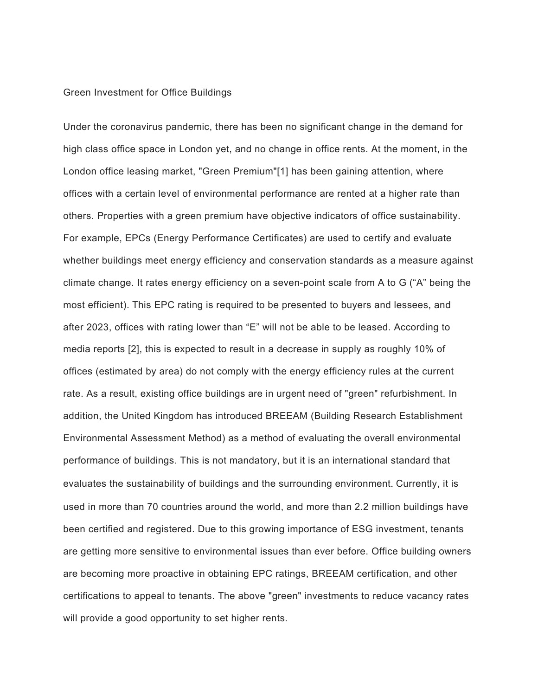## Green Investment for Office Buildings

Under the coronavirus pandemic, there has been no significant change in the demand for high class office space in London yet, and no change in office rents. At the moment, in the London office leasing market, "Green Premium"[1] has been gaining attention, where offices with a certain level of environmental performance are rented at a higher rate than others. Properties with a green premium have objective indicators of office sustainability. For example, EPCs (Energy Performance Certificates) are used to certify and evaluate whether buildings meet energy efficiency and conservation standards as a measure against climate change. It rates energy efficiency on a seven-point scale from A to G ("A" being the most efficient). This EPC rating is required to be presented to buyers and lessees, and after 2023, offices with rating lower than "E" will not be able to be leased. According to media reports [2], this is expected to result in a decrease in supply as roughly 10% of offices (estimated by area) do not comply with the energy efficiency rules at the current rate. As a result, existing office buildings are in urgent need of "green" refurbishment. In addition, the United Kingdom has introduced BREEAM (Building Research Establishment Environmental Assessment Method) as a method of evaluating the overall environmental performance of buildings. This is not mandatory, but it is an international standard that evaluates the sustainability of buildings and the surrounding environment. Currently, it is used in more than 70 countries around the world, and more than 2.2 million buildings have been certified and registered. Due to this growing importance of ESG investment, tenants are getting more sensitive to environmental issues than ever before. Office building owners are becoming more proactive in obtaining EPC ratings, BREEAM certification, and other certifications to appeal to tenants. The above "green" investments to reduce vacancy rates will provide a good opportunity to set higher rents.